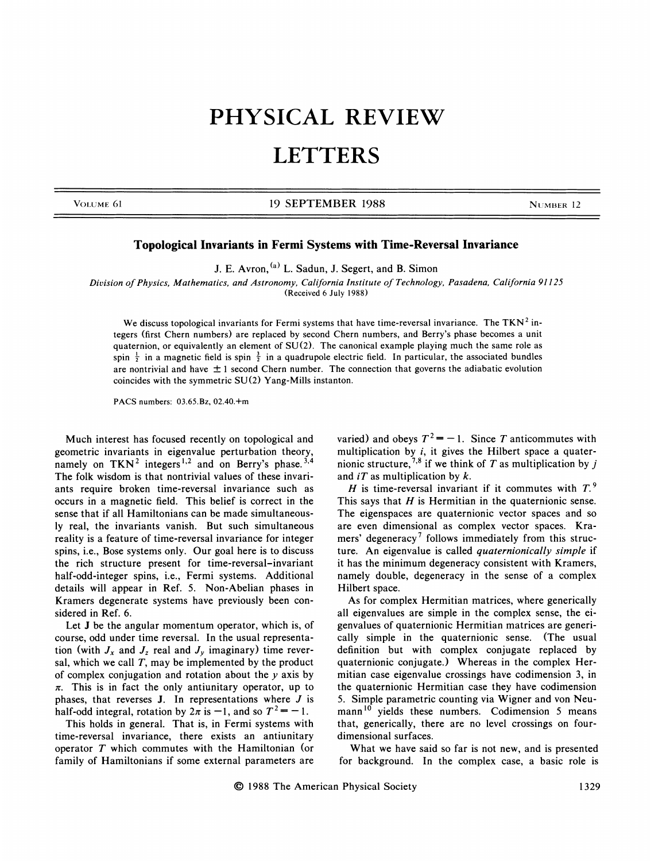## PHYSICAL REVIEW **LETTERS**

VOLUME 61 **19 SEPTEMBER 1988** NUMBER 12

## Topological Invariants in Fermi Systems with Time-Reversal Invariance

J. E. Avron, <sup>(a)</sup> L. Sadun, J. Segert, and B. Simon

Division of physics, Mathematics, and Astronomy, California Institute of Technology, Pasadena, California 91125

(Received 6 July 1988)

We discuss topological invariants for Fermi systems that have time-reversal invariance. The TKN<sup>2</sup> integers (first Chem numbers) are replaced by second Chem numbers, and Berry's phase becomes a unit quaternion, or equivalently an element of SU(2). The canonical example playing much the same role as spin  $\frac{1}{2}$  in a magnetic field is spin  $\frac{3}{2}$  in a quadrupole electric field. In particular, the associated bundle are nontrivial and have  $\pm 1$  second Chern number. The connection that governs the adiabatic evolution coincides with the symmetric SU(2) Yang-Mills instanton.

PACS numbers: 03.65.Bz, 02.40.+m

Much interest has focused recently on topological and geometric invariants in eigenvalue perturbation theory, namely on  $TKN^2$  integers<sup>1,2</sup> and on Berry's phase.<sup>3,4</sup> The folk wisdom is that nontrivial values of these invariants require broken time-reversal invariance such as occurs in a magnetic field. This belief is correct in the sense that if all Hamiltonians can be made simultaneously real, the invariants vanish. But such simultaneous reality is a feature of time-reversal invariance for integer spins, i.e., Bose systems only. Our goal here is to discuss the rich structure present for time-reversal-invariant half-odd-integer spins, i.e., Fermi systems. Additional details will appear in Ref. 5. Non-Abelian phases in Kramers degenerate systems have previously been considered in Ref. 6.

Let J be the angular momentum operator, which is, of course, odd under time reversal. In the usual representation (with  $J_x$  and  $J_z$  real and  $J_y$  imaginary) time reversal, which we call  $T$ , may be implemented by the product of complex conjugation and rotation about the  $y$  axis by  $\pi$ . This is in fact the only antiunitary operator, up to phases, that reverses  $J$ . In representations where  $J$  is half-odd integral, rotation by  $2\pi$  is  $-1$ , and so  $T^2 = -1$ .

This holds in general. That is, in Fermi systems with time-reversal invariance, there exists an antiunitary operator T which commutes with the Hamiltonian (or family of Hamiltonians if some external parameters are varied) and obeys  $T^2 = -1$ . Since T anticommutes with multiplication by  $i$ , it gives the Hilbert space a quatermultiplication by *i*, it gives the Timbert space a quality-<br>nionic structure,  $^{7,8}$  if we think of T as multiplication by *j* and iT as multiplication by k.<br> *H* is time-reversal invariant if it commutes with  $T$ .<sup>9</sup>

This says that  $H$  is Hermitian in the quaternionic sense. The eigenspaces are quaternionic vector spaces and so are even dimensional as complex vector spaces. Kramers' degeneracy<sup>7</sup> follows immediately from this structure. An eigenvalue is called quaternionically simple if it has the minimum degeneracy consistent with Kramers, namely double, degeneracy in the sense of a complex Hilbert space.

As for complex Hermitian matrices, where generically all eigenvalues are simple in the complex sense, the eigenvalues of quaternionic Hermitian matrices are generically simple in the quaternionic sense. (The usual definition but with complex conjugate replaced by quaternionic conjugate.) Whereas in the complex Hermitian case eigenvalue crossings have codimension 3, in the quaternionic Hermitian case they have codimension 5. Simple parametric counting via Wigner and von Neumann<sup>10</sup> yields these numbers. Codimension 5 means that, generically, there are no level crossings on fourdimensional surfaces.

What we have said so far is not new, and is presented for background. In the complex case, a basic role is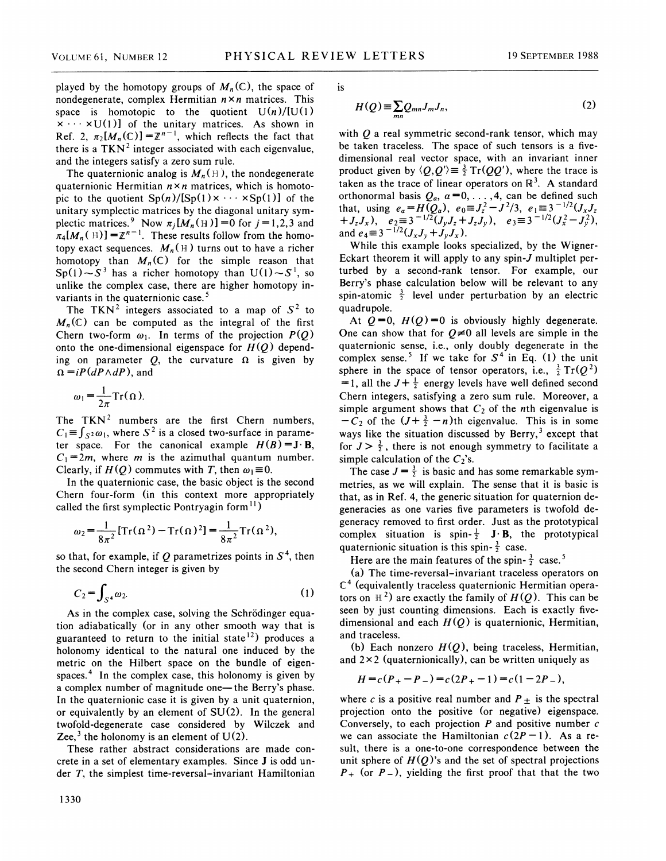played by the homotopy groups of  $M_n(\mathbb{C})$ , the space of nondegenerate, complex Hermitian  $n \times n$  matrices. This space is homotopic to the quotient  $U(n)/[U(1)]$  $x \cdots xU(1)$  of the unitary matrices. As shown in Ref. 2,  $\pi_2[M_n(\mathbb{C})] = \mathbb{Z}^{n-1}$ , which reflects the fact that there is a TKN<sup>2</sup> integer associated with each eigenvalue, and the integers satisfy a zero sum rule.

The quaternionic analog is  $M_n(\mathbb{H})$ , the nondegenerate quaternionic Hermitian  $n \times n$  matrices, which is homotopic to the quotient  $Sp(n)/[Sp(1)\times \cdots \times Sp(1)]$  of the unitary symplectic matrices by the diagonal unitary symplectic matrices.<sup>9</sup> Now  $\pi_j[M_n(\text{H})] = 0$  for  $j = 1,2,3$  and  $\pi_4[M_n(\text{H})] = \mathbb{Z}^{n-1}$ . These results follow from the homotopy exact sequences.  $M_n(\text{H})$  turns out to have a richer homotopy than  $M_n(\mathbb{C})$  for the simple reason that  $Sp(1)-S<sup>3</sup>$  has a richer homotopy than  $U(1)-S<sup>1</sup>$ , so unlike the complex case, there are higher homotopy invariants in the quaternionic case.<sup>5</sup>

The TKN<sup>2</sup> integers associated to a map of  $S^2$  to  $M_n(\mathbb{C})$  can be computed as the integral of the first Chern two-form  $\omega_1$ . In terms of the projection  $P(Q)$ onto the one-dimensional eigenspace for  $H(Q)$  depending on parameter Q, the curvature  $\Omega$  is given by  $\Omega = iP(dP \wedge dP)$ , and

$$
\omega_1 = \frac{1}{2\pi} \mathrm{Tr}(\Omega).
$$

The  $TKN<sup>2</sup>$  numbers are the first Chern numbers,  $C_1 = \int_{S^2} \omega_1$ , where  $S^2$  is a closed two-surface in parameter space. For the canonical example  $H(B) = J \cdot B$ ,  $C_1 = 2m$ , where m is the azimuthal quantum number. Clearly, if  $H(Q)$  commutes with T, then  $\omega_1 \equiv 0$ .

In the quaternionic case, the basic object is the second Chem four-form (in this context more appropriately called the first symplectic Pontryagin form<sup>11</sup>)

$$
\omega_2 = \frac{1}{8\pi^2} [\text{Tr}(\Omega^2) - \text{Tr}(\Omega)^2] = \frac{1}{8\pi^2} \text{Tr}(\Omega^2),
$$

so that, for example, if Q parametrizes points in  $S<sup>4</sup>$ , then the second Chem integer is given by

$$
C_2 = \int_{S^4} \omega_2. \tag{1}
$$

As in the complex case, solving the Schrödinger equation adiabatically (or in any other smooth way that is guaranteed to return to the initial state<sup>12</sup>) produces a holonomy identical to the natural one induced by the metric on the Hilbert space on the bundle of eigenspaces.<sup>4</sup> In the complex case, this holonomy is given by <sup>a</sup> complex number of magnitude one—the Berry's phase. In the quaternionic case it is given by a unit quaternion, or equivalently by an element of SU(2). In the general twofold-degenerate case considered by Wilczek and Zee,<sup>3</sup> the holonomy is an element of  $U(2)$ .

These rather abstract considerations are made concrete in a set of elementary examples. Since J is odd under  $T$ , the simplest time-reversal-invariant Hamiltonian 1S

$$
H(Q) \equiv \sum_{mn} Q_{mn} J_m J_n, \qquad (2)
$$

with Q a real symmetric second-rank tensor, which may<br>be taken traceless. The space of such tensors is a five<br>dimensional real vector space, with an invariant inne<br>product given by  $\langle Q, Q' \rangle \equiv \frac{3}{2} \text{Tr}(QQ')$ , where the tr be taken traceless. The space of such tensors is a fivedimensional real vector space, with an invariant inne product given by  $\langle Q, Q' \rangle \equiv \frac{3}{2} \text{Tr}(QQ')$ , where the trace is taken as the trace of linear operators on  $\mathbb{R}^3$ . A standard orthonormal basis  $Q_a$ ,  $a=0, \ldots, 4$ , can be defined such that, using  $e_a = H(Q_a)$ ,  $e_0 = J_z^2 - J^2/3$ ,  $e_1 = 3^{-1/2}(J_xJ_z)$  $+J_zJ_x$ ),  $e_2 = 3^{-1/2}(J_yJ_z+J_zJ_y)$ ,  $e_3 = 3^{-1/2}(J_x^2-J_y^2)$ and  $e_4 \equiv 3^{-1/2} (J_x J_y + J_y J_x)$ .

While this example looks specialized, by the Wigner-Eckart theorem it will apply to any spin-J multiplet perturbed by a second-rank tensor. For example, our Berry's phase calculation below will be relevant to any spin-atomic  $\frac{3}{2}$  level under perturbation by an electric quadrupole.

At  $Q = 0$ ,  $H(Q) = 0$  is obviously highly degenerate. One can show that for  $Q\neq 0$  all levels are simple in the quaternionic sense, i.e., only doubly degenerate in the complex sense.<sup>5</sup> If we take for  $S<sup>4</sup>$  in Eq. (1) the unit sphere in the space of tensor operators, i.e.,  $\frac{3}{2} Tr(Q^2)$ =1, all the  $J+\frac{1}{2}$  energy levels have well defined second Chem integers, satisfying a zero sum rule. Moreover, a simple argument shows that  $C_2$  of the *n*th eigenvalue is  $-C_2$  of the  $(J+\frac{3}{2}-n)$ th eigenvalue. This is in some ways like the situation discussed by Berry,<sup>3</sup> except that for  $J > \frac{3}{2}$ , there is not enough symmetry to facilitate a simple calculation of the  $C_2$ 's.

The case  $J = \frac{3}{2}$  is basic and has some remarkable symmetries, as we will explain. The sense that it is basic is that, as in Ref. 4, the generic situation for quaternion degeneracies as one varies five parameters is twofold degeneracy removed to first order. Just as the prototypical complex situation is spin- $\frac{1}{2}$  J·B, the prototypical quaternionic situation is this spin- $\frac{3}{2}$  case.

Here are the main features of the spin- $\frac{3}{2}$  case.<sup>5</sup>

(a) The time-reversal-invariant traceless operators on  $\mathbb{C}^4$  (equivalently traceless quaternionic Hermitian operators on  $\mathbb{H}^2$  are exactly the family of  $H(Q)$ . This can be seen by just counting dimensions. Each is exactly fivedimensional and each  $H(Q)$  is quaternionic, Hermitian, and traceless.

(b) Each nonzero  $H(Q)$ , being traceless, Hermitian, and  $2 \times 2$  (quaternionically), can be written uniquely as

$$
H = c(P_{+} - P_{-}) = c(2P_{+} - 1) = c(1 - 2P_{-}),
$$

where c is a positive real number and  $P \pm$  is the spectral projection onto the positive (or negative) eigenspace. Conversely, to each projection  $P$  and positive number  $c$ we can associate the Hamiltonian  $c(2P-1)$ . As a result, there is a one-to-one correspondence between the unit sphere of  $H(Q)$ 's and the set of spectral projections  $P_+$  (or  $P_-$ ), yielding the first proof that that the two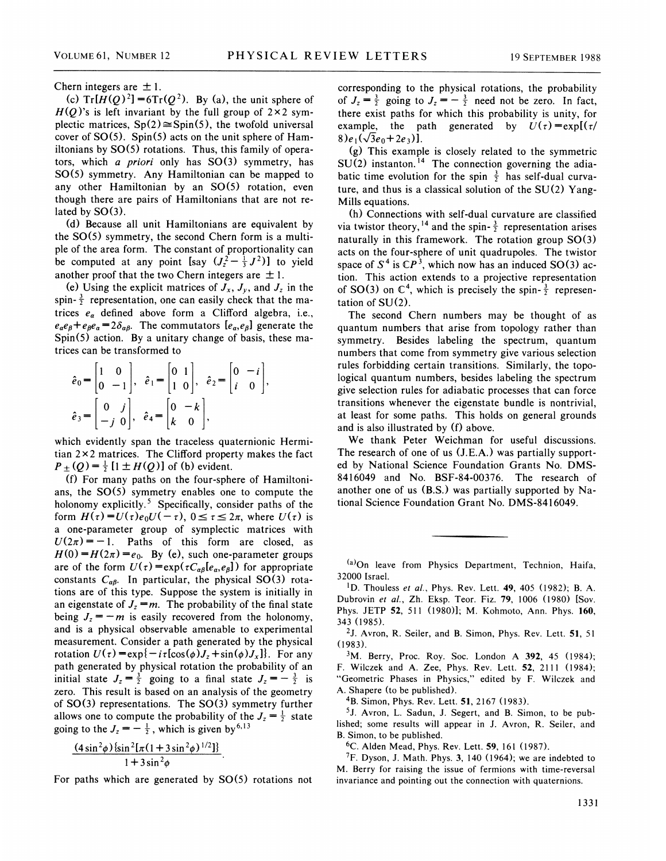Chern integers are  $\pm 1$ .

(c)  $Tr[H(Q)^2] = 6Tr(Q^2)$ . By (a), the unit sphere of  $H(O)$ 's is left invariant by the full group of 2×2 symplectic matrices,  $Sp(2) \cong Spin(5)$ , the twofold universal cover of  $SO(5)$ . Spin(5) acts on the unit sphere of Hamiltonians by  $SO(5)$  rotations. Thus, this family of operators, which a priori only has  $SO(3)$  symmetry, has SO(5) symmetry. Any Hamiltonian can be mapped to any other Hamiltonian by an SO(5) rotation, even though there are pairs of Hamiltonians that are not related by  $SO(3)$ .

(d) Because all unit Hamiltonians are equivalent by the SO(5) symmetry, the second Chem form is a multiple of the area form. The constant of proportionality can be computed at any point  $\left[ \text{say } (J_z^2 - \frac{1}{3} J^2) \right]$  to yield another proof that the two Chern integers are  $\pm 1$ .

(e) Using the explicit matrices of  $J_x$ ,  $J_y$ , and  $J_z$  in the spin- $\frac{3}{2}$  representation, one can easily check that the matrices  $e_a$  defined above form a Clifford algebra, i.e.,  $e_a e_\beta + e_\beta e_a = 2\delta_{\alpha\beta}$ . The commutators  $[e_\alpha, e_\beta]$  generate the Spin(5) action. By a unitary change of basis, these matrices can be transformed to

$$
\hat{e}_0 = \begin{bmatrix} 1 & 0 \\ 0 & -1 \end{bmatrix}, \quad \hat{e}_1 = \begin{bmatrix} 0 & 1 \\ 1 & 0 \end{bmatrix}, \quad \hat{e}_2 = \begin{bmatrix} 0 & -i \\ i & 0 \end{bmatrix}.
$$

$$
\hat{e}_3 = \begin{bmatrix} 0 & j \\ -j & 0 \end{bmatrix}, \quad \hat{e}_4 = \begin{bmatrix} 0 & -k \\ k & 0 \end{bmatrix},
$$

which evidently span the traceless quaternionic Hermitian  $2 \times 2$  matrices. The Clifford property makes the fact  $P_{\pm} (Q) = \frac{1}{2} [1 \pm H(Q)]$  of (b) evident.

(f) For many paths on the four-sphere of Hamiltonians, the SO(5) symmetry enables one to compute the holonomy explicitly.<sup>5</sup> Specifically, consider paths of the form  $H(\tau) = U(\tau)e_0U(-\tau)$ ,  $0 \le \tau \le 2\pi$ , where  $U(\tau)$  is a one-parameter group of symplectic matrices with  $U(2\pi) = -1$ . Paths of this form are closed, as  $H(0) = H(2\pi) = e_0$ . By (e), such one-parameter groups are of the form  $U(\tau) = \exp(\tau C_{\alpha\beta}[e_{\alpha}, e_{\beta}])$  for appropriate constants  $C_{\alpha\beta}$ . In particular, the physical SO(3) rotations are of this type. Suppose the system is initially in an eigenstate of  $J_z = m$ . The probability of the final state being  $J_z = -m$  is easily recovered from the holonomy, and is a physical observable amenable to experimental measurement. Consider a path generated by the physical rotation  $U(\tau) = \exp\{-i\tau[\cos(\phi)J_z + \sin(\phi)J_x]\}$ . For any path generated by physical rotation the probability of an initial state  $J_z = \frac{3}{2}$  going to a final state  $J_z = -\frac{3}{2}$  is zero. This result is based on an analysis of the geometry of  $SO(3)$  representations. The  $SO(3)$  symmetry further allows one to compute the probability of the  $J_z = \frac{1}{2}$  state going to the  $J_z = -\frac{1}{2}$ , which is given by <sup>6,1</sup>

$$
\frac{(4\sin^2\phi)\{\sin^2[\pi(1+3\sin^2\phi)^{1/2}]\}}{1+3\sin^2\phi}
$$

For paths which are generated by  $SO(5)$  rotations not

corresponding to the physical rotations, the probabilit for  $J_z = \frac{3}{2}$  going to  $J_z = -\frac{3}{2}$  need not be zero. In fact, there exist paths for which this probability is unity, for example, the path generated by  $U(\tau) = \exp[(\tau/\tau)]$ 8)e<sub>1</sub>( $\sqrt{3}e_0+2e_3$ )].

(g) This example is closely related to the symmetric  $SU(2)$  instanton.<sup>14</sup> The connection governing the adiabatic time evolution for the spin  $\frac{3}{2}$  has self-dual curva ture, and thus is a classical solution of the SU(2) Yang-Mills equations.

(h) Connections with self-dual curvature are classified via twistor theory, <sup>14</sup> and the spin- $\frac{3}{2}$  representation arises naturally in this framework. The rotation group  $SO(3)$ acts on the four-sphere of unit quadrupoles. The twistor space of  $S^4$  is  $\mathbb{C}P^3$ , which now has an induced SO(3) action. This action extends to a projective representation of SO(3) on  $\mathbb{C}^4$ , which is precisely the spin- $\frac{3}{2}$  represen tation of SU(2).

The second Chem numbers may be thought of as quantum numbers that arise from topology rather than symmetry. Besides labeling the spectrum, quantum numbers that come from symmetry give various selection rules forbidding certain transitions. Similarly, the topological quantum numbers, besides labeling the spectrum give selection rules for adiabatic processes that can force transitions whenever the eigenstate bundle is nontrivial, at least for some paths. This holds on general grounds and is also illustrated by (f) above.

We thank Peter Weichman for useful discussions. The research of one of us (J.E.A.) was partially supported by National Science Foundation Grants No. DMS-8416049 and No. BSF-84-00376. The research of another one of us (B.S.) was partially supported by National Science Foundation Grant No. DMS-8416049.

 $(a)$ On leave from Physics Department, Technion, Haifa, 32000 Israel.

<sup>1</sup>D. Thouless et al., Phys. Rev. Lett.  $49, 405$  (1982); B. A. Dubrovin et al., Zh. Eksp. Teor. Fiz. 79, 1006 (1980) [Sov. Phys. JETP 52, 511 (1980)l; M. Kohmoto, Ann. Phys. 160, 343 (1985).

2J. Avron, R. Seiler, and B. Simon, Phys. Rev. Lett. 51, 51 (1983).

 $3M.$  Berry, Proc. Roy. Soc. London A 392, 45 (1984); F. Wilczek and A. Zee, Phys. Rev. Lett. 52, 2111 (1984); "Geometric Phases in Physics," edited by F. Wilczek and A. Shapere (to be published).

4B. Simon, Phys. Rev. Lett. 51, 2167 (1983).

<sup>5</sup>J. Avron, L. Sadun, J. Segert, and B. Simon, to be published; some results will appear in J. Avron, R. Seiler, and B. Simon, to be published.

6C. Alden Mead, Phys. Rev. Lett. 59, 161 (1987).

 $7F$ . Dyson, J. Math. Phys. 3, 140 (1964); we are indebted to M. Berry for raising the issue of fermions with time-reversal invariance and pointing out the connection with quaternions.